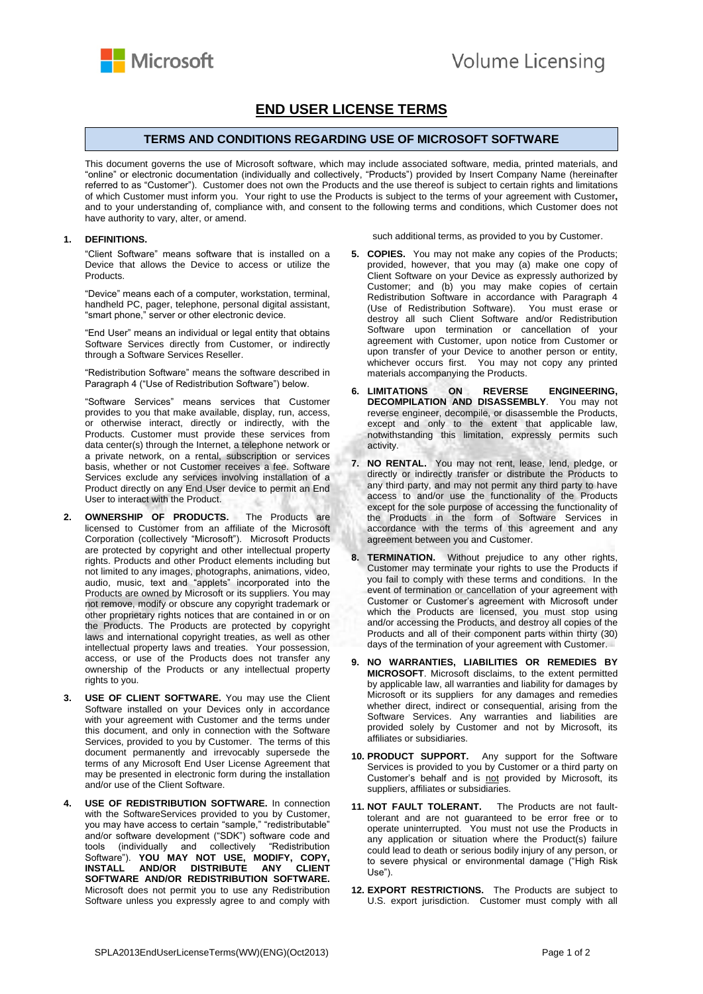

## **END USER LICENSE TERMS**

## **TERMS AND CONDITIONS REGARDING USE OF MICROSOFT SOFTWARE**

This document governs the use of Microsoft software, which may include associated software, media, printed materials, and "online" or electronic documentation (individually and collectively, "Products") provided by Insert Company Name (hereinafter referred to as "Customer"). Customer does not own the Products and the use thereof is subject to certain rights and limitations of which Customer must inform you. Your right to use the Products is subject to the terms of your agreement with Customer**,** and to your understanding of, compliance with, and consent to the following terms and conditions, which Customer does not have authority to vary, alter, or amend.

## **1. DEFINITIONS.**

"Client Software" means software that is installed on a Device that allows the Device to access or utilize the Products.

"Device" means each of a computer, workstation, terminal, handheld PC, pager, telephone, personal digital assistant, "smart phone," server or other electronic device.

"End User" means an individual or legal entity that obtains Software Services directly from Customer, or indirectly through a Software Services Reseller.

"Redistribution Software" means the software described in Paragraph 4 ("Use of Redistribution Software") below.

"Software Services" means services that Customer provides to you that make available, display, run, access, or otherwise interact, directly or indirectly, with the Products. Customer must provide these services from data center(s) through the Internet, a telephone network or a private network, on a rental, subscription or services basis, whether or not Customer receives a fee. Software Services exclude any services involving installation of a Product directly on any End User device to permit an End User to interact with the Product.

- **2. OWNERSHIP OF PRODUCTS.** The Products are licensed to Customer from an affiliate of the Microsoft Corporation (collectively "Microsoft"). Microsoft Products are protected by copyright and other intellectual property rights. Products and other Product elements including but not limited to any images, photographs, animations, video, audio, music, text and "applets" incorporated into the Products are owned by Microsoft or its suppliers. You may not remove, modify or obscure any copyright trademark or other proprietary rights notices that are contained in or on the Products. The Products are protected by copyright laws and international copyright treaties, as well as other intellectual property laws and treaties. Your possession, access, or use of the Products does not transfer any ownership of the Products or any intellectual property rights to you.
- **3. USE OF CLIENT SOFTWARE.** You may use the Client Software installed on your Devices only in accordance with your agreement with Customer and the terms under this document, and only in connection with the Software Services, provided to you by Customer. The terms of this document permanently and irrevocably supersede the terms of any Microsoft End User License Agreement that may be presented in electronic form during the installation and/or use of the Client Software.
- **4. USE OF REDISTRIBUTION SOFTWARE.** In connection with the SoftwareServices provided to you by Customer, you may have access to certain "sample," "redistributable" and/or software development ("SDK") software code and tools (individually and collectively "Redistribution Software"). **YOU MAY NOT USE, MODIFY, COPY, INSTALL AND/OR DISTRIBUTE ANY CLIENT SOFTWARE AND/OR REDISTRIBUTION SOFTWARE.**  Microsoft does not permit you to use any Redistribution Software unless you expressly agree to and comply with

such additional terms, as provided to you by Customer.

- **5. COPIES.** You may not make any copies of the Products; provided, however, that you may (a) make one copy of Client Software on your Device as expressly authorized by Customer; and (b) you may make copies of certain Redistribution Software in accordance with Paragraph 4 (Use of Redistribution Software). You must erase or destroy all such Client Software and/or Redistribution Software upon termination or cancellation of your agreement with Customer, upon notice from Customer or upon transfer of your Device to another person or entity, whichever occurs first. You may not copy any printed materials accompanying the Products.
- **6. LIMITATIONS ON REVERSE ENGINEERING, DECOMPILATION AND DISASSEMBLY**. You may not reverse engineer, decompile, or disassemble the Products, except and only to the extent that applicable law, notwithstanding this limitation, expressly permits such activity.
- **7. NO RENTAL.** You may not rent, lease, lend, pledge, or directly or indirectly transfer or distribute the Products to any third party, and may not permit any third party to have access to and/or use the functionality of the Products except for the sole purpose of accessing the functionality of the Products in the form of Software Services in accordance with the terms of this agreement and any agreement between you and Customer.
- **8. TERMINATION.** Without prejudice to any other rights, Customer may terminate your rights to use the Products if you fail to comply with these terms and conditions. In the event of termination or cancellation of your agreement with Customer or Customer's agreement with Microsoft under which the Products are licensed, you must stop using and/or accessing the Products, and destroy all copies of the Products and all of their component parts within thirty (30) days of the termination of your agreement with Customer.
- **9. NO WARRANTIES, LIABILITIES OR REMEDIES BY MICROSOFT**. Microsoft disclaims, to the extent permitted by applicable law, all warranties and liability for damages by Microsoft or its suppliers for any damages and remedies whether direct, indirect or consequential, arising from the Software Services. Any warranties and liabilities are provided solely by Customer and not by Microsoft, its affiliates or subsidiaries.
- **10. PRODUCT SUPPORT.** Any support for the Software Services is provided to you by Customer or a third party on Customer's behalf and is not provided by Microsoft, its suppliers, affiliates or subsidiaries.
- **11. NOT FAULT TOLERANT.** The Products are not faulttolerant and are not guaranteed to be error free or to operate uninterrupted. You must not use the Products in any application or situation where the Product(s) failure could lead to death or serious bodily injury of any person, or to severe physical or environmental damage ("High Risk Use").
- **12. EXPORT RESTRICTIONS.** The Products are subject to U.S. export jurisdiction. Customer must comply with all